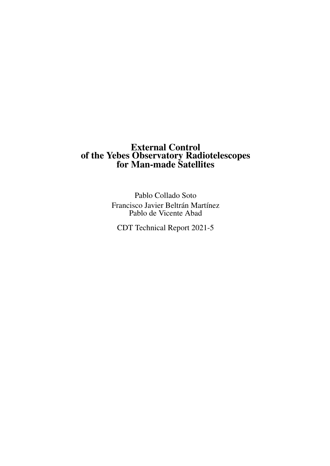# External Control of the Yebes Observatory Radiotelescopes for Man-made Satellites

Pablo Collado Soto Francisco Javier Beltrán Martínez Pablo de Vicente Abad

CDT Technical Report 2021-5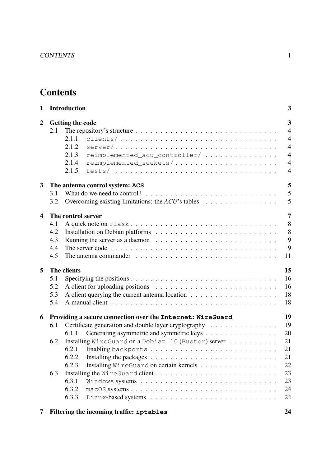# **Contents**

| $\mathbf{1}$     |     | <b>Introduction</b>                                                                                        | 3              |
|------------------|-----|------------------------------------------------------------------------------------------------------------|----------------|
| $\boldsymbol{2}$ |     | <b>Getting the code</b>                                                                                    | 3              |
|                  | 2.1 | The repository's structure $\dots \dots \dots \dots \dots \dots \dots \dots \dots \dots \dots \dots \dots$ | $\overline{4}$ |
|                  |     | 2.1.1<br>clients/                                                                                          | $\overline{4}$ |
|                  |     | 2.1.2<br>$server / \ldots \ldots \ldots \ldots \ldots \ldots \ldots \ldots \ldots \ldots \ldots$           | $\overline{4}$ |
|                  |     | 2.1.3<br>reimplemented_acu_controller/                                                                     | $\overline{4}$ |
|                  |     | 2.1.4<br>reimplemented_sockets/                                                                            | $\overline{4}$ |
|                  |     | 2.1.5                                                                                                      | $\overline{4}$ |
| $\mathbf{3}$     |     | The antenna control system: ACS                                                                            | 5              |
|                  | 3.1 |                                                                                                            | 5              |
|                  | 3.2 | Overcoming existing limitations: the $ACU$ 's tables $\ldots \ldots \ldots \ldots \ldots$                  | 5              |
| 4                |     | The control server                                                                                         | 7              |
|                  | 4.1 | A quick note on flask                                                                                      | 8              |
|                  | 4.2 |                                                                                                            | 8              |
|                  | 4.3 | Running the server as a daemon $\ldots \ldots \ldots \ldots \ldots \ldots \ldots \ldots$                   | 9              |
|                  | 4.4 |                                                                                                            | 9              |
|                  | 4.5 | The antenna commander $\ldots \ldots \ldots \ldots \ldots \ldots \ldots \ldots \ldots \ldots \ldots$       | 11             |
| 5                |     | The clients                                                                                                | 15             |
|                  | 5.1 |                                                                                                            | 16             |
|                  | 5.2 |                                                                                                            | 16             |
|                  | 5.3 |                                                                                                            | 18             |
|                  | 5.4 |                                                                                                            | 18             |
| 6                |     | Providing a secure connection over the Internet: WireGuard                                                 | 19             |
|                  | 6.1 | Certificate generation and double layer cryptography                                                       | 19             |
|                  |     | Generating asymmetric and symmetric keys<br>6.1.1                                                          | 20             |
|                  | 6.2 | Installing WireGuard on a Debian 10 (Buster) server                                                        | 21             |
|                  |     | 6.2.1                                                                                                      | 21             |
|                  |     | 6.2.2                                                                                                      | 21             |
|                  |     | 6.2.3<br>Installing WireGuard on certain kernels                                                           | 22             |
|                  | 6.3 |                                                                                                            | 23             |
|                  |     | 6.3.1                                                                                                      | 23             |
|                  |     | 6.3.2                                                                                                      | 24             |
|                  |     | 6.3.3                                                                                                      | 24             |
|                  |     |                                                                                                            |                |

[7 Filtering the incoming traffic:](#page-24-2) **iptables** 24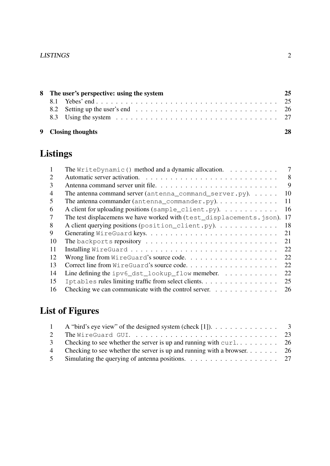# LISTINGS 2

| 8 The user's perspective: using the system | 25 |
|--------------------------------------------|----|
|                                            |    |
|                                            |    |
|                                            |    |
| 9 Closing thoughts                         |    |

# Listings

| 1  | The WriteDynamic () method and a dynamic allocation.                           | 7  |
|----|--------------------------------------------------------------------------------|----|
| 2  |                                                                                | 8  |
| 3  |                                                                                | 9  |
| 4  | The antenna command server (antenna_command_server.py).                        | 10 |
| 5  | The antenna commander (antenna_commander.py). $\dots \dots \dots \dots$        | 11 |
| 6  | A client for uploading positions (sample_client.py).                           | 16 |
| 7  | The test displacemens we have worked with (test_displacements.json).           | 17 |
| 8  | A client querying positions (position_client.py).                              | 18 |
| 9  |                                                                                | 21 |
| 10 |                                                                                | 21 |
| 11 |                                                                                | 22 |
| 12 | Wrong line from WireGuard's source code                                        | 22 |
| 13 | Correct line from WireGuard's source code                                      | 22 |
| 14 |                                                                                | 22 |
| 15 | Iptables rules limiting traffic from select clients.                           | 25 |
| 16 | Checking we can communicate with the control server. $\dots \dots \dots \dots$ | 26 |

# List of Figures

|   | A "bird's eye view" of the designed system (check [1]). $\dots \dots \dots \dots \dots$               |  |
|---|-------------------------------------------------------------------------------------------------------|--|
|   | The Wire Guard GUI. $\ldots \ldots \ldots \ldots \ldots \ldots \ldots \ldots \ldots \ldots \ldots 23$ |  |
| 3 | Checking to see whether the server is up and running with $\text{curl} \dots \dots \dots \dots$ 26    |  |
| 4 | Checking to see whether the server is up and running with a browser $26$                              |  |
|   | Simulating the querying of antenna positions. $\ldots \ldots \ldots \ldots \ldots \ldots \ldots$ 27   |  |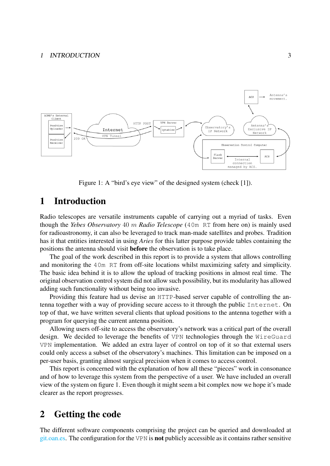#### 1 INTRODUCTION 3



<span id="page-3-2"></span>Figure 1: A "bird's eye view" of the designed system (check [\[1\]](#page-29-0)).

# <span id="page-3-0"></span>1 Introduction

Radio telescopes are versatile instruments capable of carrying out a myriad of tasks. Even though the *Yebes Observatory* 40 m *Radio Telescope* (40m RT from here on) is mainly used for radioastronomy, it can also be leveraged to track man-made satellites and probes. Tradition has it that entities interested in using *Aries* for this latter purpose provide tables containing the positions the antenna should visit before the observation is to take place.

The goal of the work described in this report is to provide a system that allows controlling and monitoring the 40m RT from off-site locations whilst maximizing safety and simplicity. The basic idea behind it is to allow the upload of tracking positions in almost real time. The original observation control system did not allow such possibility, but its modularity has allowed adding such functionality without being too invasive.

Providing this feature had us devise an HTTP-based server capable of controlling the antenna together with a way of providing secure access to it through the public Internet. On top of that, we have written several clients that upload positions to the antenna together with a program for querying the current antenna position.

Allowing users off-site to access the observatory's network was a critical part of the overall design. We decided to leverage the benefits of VPN technologies through the WireGuard VPN implementation. We added an extra layer of control on top of it so that external users could only access a subset of the observatory's machines. This limitation can be imposed on a per-user basis, granting almost surgical precision when it comes to access control.

This report is concerned with the explanation of how all these "pieces" work in consonance and of how to leverage this system from the perspective of a user. We have included an overall view of the system on figure [1.](#page-3-2) Even though it might seem a bit complex now we hope it's made clearer as the report progresses.

# <span id="page-3-1"></span>2 Getting the code

The different software components comprising the project can be queried and downloaded at [git.oan.es.](http://git.oan.es/pcollado/antenna-command-server) The configuration for the VPN is not publicly accessible as it contains rather sensitive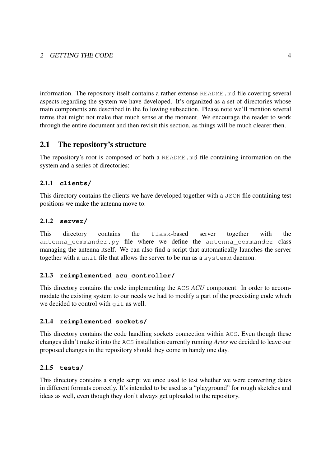### 2 GETTING THE CODE 4

information. The repository itself contains a rather extense README. md file covering several aspects regarding the system we have developed. It's organized as a set of directories whose main components are described in the following subsection. Please note we'll mention several terms that might not make that much sense at the moment. We encourage the reader to work through the entire document and then revisit this section, as things will be much clearer then.

# <span id="page-4-0"></span>2.1 The repository's structure

The repository's root is composed of both a README.md file containing information on the system and a series of directories:

# <span id="page-4-1"></span>2.1.1 **clients/**

This directory contains the clients we have developed together with a JSON file containing test positions we make the antenna move to.

### <span id="page-4-2"></span>2.1.2 **server/**

This directory contains the flask-based server together with the antenna commander.py file where we define the antenna commander class managing the antenna itself. We can also find a script that automatically launches the server together with a unit file that allows the server to be run as a systemd daemon.

# <span id="page-4-3"></span>2.1.3 **reimplemented\_acu\_controller/**

This directory contains the code implementing the ACS *ACU* component. In order to accommodate the existing system to our needs we had to modify a part of the preexisting code which we decided to control with git as well.

### <span id="page-4-4"></span>2.1.4 **reimplemented\_sockets/**

This directory contains the code handling sockets connection within ACS. Even though these changes didn't make it into the ACS installation currently running *Aries* we decided to leave our proposed changes in the repository should they come in handy one day.

### <span id="page-4-5"></span>2.1.5 **tests/**

This directory contains a single script we once used to test whether we were converting dates in different formats correctly. It's intended to be used as a "playground" for rough sketches and ideas as well, even though they don't always get uploaded to the repository.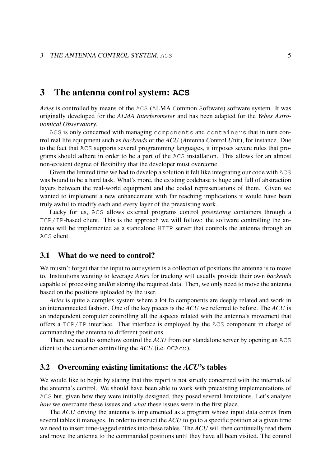# <span id="page-5-0"></span>3 The antenna control system: **ACS**

*Aries* is controlled by means of the ACS (ALMA Common Software) software system. It was originally developed for the *ALMA Interferometer* and has been adapted for the *Yebes Astronomical Observatory*.

ACS is only concerned with managing components and containers that in turn control real life equipment such as *backends* or the *ACU* (*A*ntenna *C*ontrol *U*nit), for instance. Due to the fact that ACS supports several programming languages, it imposes severe rules that programs should adhere in order to be a part of the ACS installation. This allows for an almost non-existent degree of flexibility that the developer must overcome.

Given the limited time we had to develop a solution it felt like integrating our code with ACS was bound to be a hard task. What's more, the existing codebase is huge and full of abstraction layers between the real-world equipment and the coded representations of them. Given we wanted to implement a new enhancement with far reaching implications it would have been truly awful to modify each and every layer of the preexisting work.

Lucky for us, ACS allows external programs control *preexisting* containers through a TCP/IP-based client. This is the approach we will follow: the software controlling the antenna will be implemented as a standalone HTTP server that controls the antenna through an ACS client.

### <span id="page-5-1"></span>3.1 What do we need to control?

We mustn't forget that the input to our system is a collection of positions the antenna is to move to. Institutions wanting to leverage *Aries* for tracking will usually provide their own *backends* capable of processing and/or storing the required data. Then, we only need to move the antenna based on the positions uploaded by the user.

*Aries* is quite a complex system where a lot fo components are deeply related and work in an interconnected fashion. One of the key pieces is the *ACU* we referred to before. The *ACU* is an independent computer controlling all the aspects related with the antenna's movement that offers a TCP/IP interface. That interface is employed by the ACS component in charge of commanding the antenna to different positions.

Then, we need to somehow control the *ACU* from our standalone server by opening an ACS client to the container controlling the *ACU* (i.e. OCAcu).

#### <span id="page-5-2"></span>3.2 Overcoming existing limitations: the *ACU*'s tables

We would like to begin by stating that this report is not strictly concerned with the internals of the antenna's control. We should have been able to work with preexisting implementations of ACS but, given how they were initially designed, they posed several limitations. Let's analyze *how* we overcame these issues and *what* these issues were in the first place.

The *ACU* driving the antenna is implemented as a program whose input data comes from several tables it manages. In order to instruct the *ACU* to go to a specific position at a given time we need to insert time-tagged entries into these tables. The *ACU* will then continually read them and move the antenna to the commanded positions until they have all been visited. The control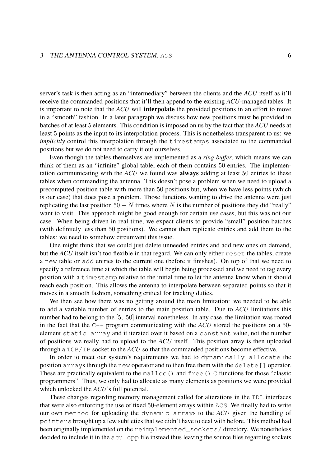#### 3 THE ANTENNA CONTROL SYSTEM: ACS 6

server's task is then acting as an "intermediary" between the clients and the *ACU* itself as it'll receive the commanded positions that it'll then append to the existing *ACU*-managed tables. It is important to note that the *ACU* will interpolate the provided positions in an effort to move in a "smooth" fashion. In a later paragraph we discuss how new positions must be provided in batches of at least 5 elements. This condition is imposed on us by the fact that the *ACU* needs at least 5 points as the input to its interpolation process. This is nonetheless transparent to us: we *implicitly* control this interpolation through the timestamps associated to the commanded positions but we do not need to carry it out ourselves.

Even though the tables themselves are implemented as a *ring buffer*, which means we can think of them as an "infinite" global table, each of them contains 50 entries. The implementation communicating with the *ACU* we found was always adding at least 50 entries to these tables when commanding the antenna. This doesn't pose a problem when we need to upload a precomputed position table with more than 50 positions but, when we have less points (which is our case) that does pose a problem. Those functions wanting to drive the antenna were just replicating the last position  $50 - N$  times where N is the number of positions they did "really" want to visit. This approach might be good enough for certain use cases, but this was not our case. When being driven in real time, we expect clients to provide "small" position batches (with definitely less than 50 positions). We cannot then replicate entries and add them to the tables: we need to somehow circumvent this issue.

One might think that we could just delete unneeded entries and add new ones on demand, but the *ACU* itself isn't too flexible in that regard. We can only either reset the tables, create a new table or add entries to the current one (before it finishes). On top of that we need to specify a reference time at which the table will begin being processed and we need to tag every position with a timestamp relative to the initial time to let the antenna know when it should reach each position. This allows the antenna to interpolate between separated points so that it moves in a smooth fashion, something critical for tracking duties.

We then see how there was no getting around the main limitation: we needed to be able to add a variable number of entries to the main position table. Due to *ACU* limitations this number had to belong to the [5, 50] interval nonetheless. In any case, the limitation was rooted in the fact that the C++ program communicating with the *ACU* stored the positions on a 50 element static array and it iterated over it based on a constant value, not the number of positions we really had to upload to the *ACU* itself. This position array is then uploaded through a TCP/IP socket to the *ACU* so that the commanded positions become effective.

In order to meet our system's requirements we had to dynamically allocate the position arrays through the new operator and to then free them with the delete[] operator. These are practically equivalent to the malloc() and free() C functions for those "classic programmers". Thus, we only had to allocate as many elements as positions we were provided which unlocked the *ACU*'s full potential.

These changes regarding memory management called for alterations in the IDL interfaces that were also enforcing the use of fixed 50-element arrays within ACS. We finally had to write our own method for uploading the dynamic arrays to the *ACU* given the handling of pointers brought up a few subtleties that we didn't have to deal with before. This method had been originally implemented on the reimplemented sockets/ directory. We nonetheless decided to include it in the acu.cpp file instead thus leaving the source files regarding sockets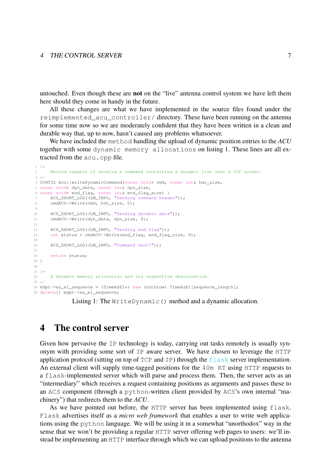untouched. Even though these are not on the "live" antenna control system we have left them here should they come in handy in the future.

All these changes are what we have implemented in the source files found under the reimplemented\_acu\_controller/ directory. These have been running on the antenna for some time now so we are moderately confident that they have been written in a clean and durable way that, up to now, hasn't caused any problems whatsoever.

We have included the method handling the upload of dynamic position entries to the *ACU* together with some dynamic memory allocations on listing [1.](#page-7-1) These lines are all extracted from the acu.cpp file.

```
1 /*
2 Method capable of sending a command containing a dynamic list over a TCP socket.
3 \times 74 UINT32 Acu::writeDynamicCommand(const void* cmd, const int& hdr_size,
5 const void* dyn_data, const int& dyn_size,
6 const void* end flag, const int& end flag size) {
     ACS_SHORT_LOG((LM_INFO, "Sending command header"));
     cmdACU->Write(cmd, hdr_size, 0);
Q10 ACS_SHORT_LOG((LM_INFO, "Sending dynamic data"));
11 cmdACU->Write(dyn_data, dyn_size, 0);
12
13 ACS_SHORT_LOG((LM_INFO, "Sending end flag"));
14 int status = cmdACU->Write(end_flag, end_flag_size, 0);
15
16 ACS_SHORT_LOG((LM_INFO, "Command sent!"));
17
18 return status;
19 }
2021 / \star<br>22
      A dynamic memory allocation and its respective deallocation.
23 + 724 mdpt->az_el_sequence = (TimeAzEl*) new (nothrow) TimeAzEl[sequence_length];
25 delete[] mdpt->az_el_sequence;
```
Listing 1: The WriteDynamic() method and a dynamic allocation.

# <span id="page-7-0"></span>4 The control server

Given how pervasive the IP technology is today, carrying out tasks remotely is usually synonym with providing some sort of IP aware server. We have chosen to leverage the HTTP application protocol (sitting on top of  $TCP$  and  $IP$ ) through the  $೦lask server implementation.$ An external client will supply time-tagged positions for the 40m RT using HTTP requests to a flask-implemented server which will parse and process them. Then, the server acts as an "intermediary" which receives a request containing positions as arguments and passes these to an ACS component (through a python-written client provided by ACS's own internal "machinery") that redirects them to the *ACU*.

As we have pointed out before, the HTTP server has been implemented using  $f$ lask. Flask advertises itself as a *micro web framework* that enables a user to write web applications using the python language. We will be using it in a somewhat "unorthodox" way in the sense that we won't be providing a regular HTTP server offering web pages to users: we'll instead be implementing an HTTP interface through which we can upload positions to the antenna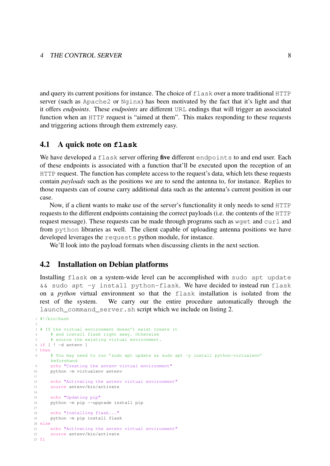and query its current positions for instance. The choice of  $f$ lask over a more traditional HTTP server (such as Apache2 or Nginx) has been motivated by the fact that it's light and that it offers *endpoints*. These *endpoints* are different URL endings that will trigger an associated function when an HTTP request is "aimed at them". This makes responding to these requests and triggering actions through them extremely easy.

#### <span id="page-8-0"></span>4.1 A quick note on **flask**

We have developed a flask server offering five different endpoints to and end user. Each of these endpoints is associated with a function that'll be executed upon the reception of an HTTP request. The function has complete access to the request's data, which lets these requests contain *payloads* such as the positions we are to send the antenna to, for instance. Replies to those requests can of course carry additional data such as the antenna's current position in our case.

Now, if a client wants to make use of the server's functionality it only needs to send HTTP requests to the different endpoints containing the correct payloads (i.e. the contents of the HTTP request message). These requests can be made through programs such as  $wqet$  and curl and from python libraries as well. The client capable of uploading antenna positions we have developed leverages the requests python module, for instance.

We'll look into the payload formats when discussing clients in the next section.

### <span id="page-8-1"></span>4.2 Installation on Debian platforms

Installing flask on a system-wide level can be accomplished with sudo apt update && sudo apt -y install python-flask. We have decided to instead run flask on a *python* virtual environment so that the flask installation is isolated from the rest of the system. We carry our the entire procedure automatically through the launch\_command\_server.sh script which we include on listing [2.](#page-8-2)

```
1 #!/bin/bash
\gamma3 # If the virtual environment doesn't exist create it
4 # and install flask right away. Otherwise
5 # source the existing virtual environment.
6 if [ ! -d antenv ]
7 then
      8 # You may need to run 'sudo apt update && sudo apt -y install python-virtualenv'
     beforehand
9 echo "Creating the antenv virtual environment"
10 python -m virtualenv antenv
11
12 echo "Activating the antenv virtual environment"
13 source antenv/bin/activate
14
15 echo "Updating pip"
16 python -m pip --upgrade install pip
17
18 echo "Installing flask..."
19 python -m pip install flask
20 else
21 echo "Activating the antenv virtual environment"
22 source antenv/bin/activate
23 fi
```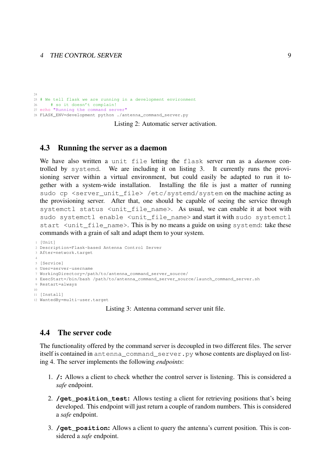$24$  # We tell flask we are running in a development environment # so it doesn't complain! echo "Running the command server" FLASK\_ENV=development python ./antenna\_command\_server.py

Listing 2: Automatic server activation.

#### <span id="page-9-0"></span>4.3 Running the server as a daemon

We have also written a unit file letting the flask server run as a *daemon* controlled by systemd. We are including it on listing [3.](#page-9-2) It currently runs the provisioning server within a virtual environment, but could easily be adapted to run it together with a system-wide installation. Installing the file is just a matter of running sudo cp <server\_unit\_file> /etc/systemd/system on the machine acting as the provisioning server. After that, one should be capable of seeing the service through systemctl status <unit file name>. As usual, we can enable it at boot with sudo systemctl enable <unit\_file\_name> and start it with sudo systemctl start <unit\_file\_name>. This is by no means a guide on using systemd: take these commands with a grain of salt and adapt them to your system.

```
1 [Unit]
2 Description=Flask-based Antenna Control Server
3 After=network.target
 4
5 [Service]
6 User=server-username
7 WorkingDirectory=/path/to/antenna_command_server_source/
8 ExecStart=/bin/bash /path/to/antenna_command_server_source/launch_command_server.sh
9 Restart=always
10
11 [Install]
12 WantedBy=multi-user.target
```
Listing 3: Antenna command server unit file.

# <span id="page-9-1"></span>4.4 The server code

The functionality offered by the command server is decoupled in two different files. The server itself is contained in antenna\_command\_server.py whose contents are displayed on listing [4.](#page-10-0) The server implements the following *endpoints*:

- 1. **/**: Allows a client to check whether the control server is listening. This is considered a *safe* endpoint.
- 2. **/get position test:** Allows testing a client for retrieving positions that's being developed. This endpoint will just return a couple of random numbers. This is considered a *safe* endpoint.
- 3. **/get\_position**: Allows a client to query the antenna's current position. This is considered a *safe* endpoint.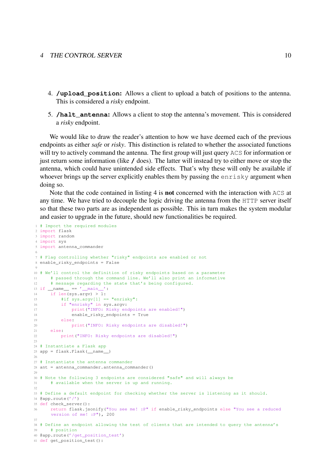- 4. **/upload\_position**: Allows a client to upload a batch of positions to the antenna. This is considered a *risky* endpoint.
- 5. **/halt\_antenna**: Allows a client to stop the antenna's movement. This is considered a *risky* endpoint.

We would like to draw the reader's attention to how we have deemed each of the previous endpoints as either *safe* or *risky*. This distinction is related to whether the associated functions will try to actively command the antenna. The first group will just query ACS for information or just return some information (like **/** does). The latter will instead try to either move or stop the antenna, which could have unintended side effects. That's why these will only be available if whoever brings up the server explicitly enables them by passing the enrisky argument when doing so.

Note that the code contained in listing [4](#page-10-0) is not concerned with the interaction with ACS at any time. We have tried to decouple the logic driving the antenna from the HTTP server itself so that these two parts are as independent as possible. This in turn makes the system modular and easier to upgrade in the future, should new functionalities be required.

```
1 # Import the required modules
2 import flask
3 import random
4 import sys
5 import antenna_commander
 6
7 # Flag controlling whether "risky" endpoints are enabled or not
8 enable_risky_endpoints = False
Q10 # We'll control the definition of risky endpoints based on a parameter
11 # passed through the command line. We'll also print an informative
12 # message regarding the state that's being configured.
13 if {\_}name{\_} == {\_}'{\_}main{\_}':
14 if len(sys.argv) > 1:
15 #if sys.argv[1] == "enrisky":16 if "enrisky" in sys.argv:
17 print("INFO: Risky endpoints are enabled!")
18 enable_risky_endpoints = True
19 else:
20 print("INFO: Risky endpoints are disabled!")
21 else:
22 print("INFO: Risky endpoints are disabled!")
2324 # Instantiate a Flask app
25 app = flask.Flask( name
26
27 # Instantiate the antenna commander
28 ant = antenna commander.antenna commander()
29
30 # Note the following 3 endpoints are considered "safe" and will always be
31 # available when the server is up and running.
32
33 # Define a default endpoint for checking whether the server is listening as it should.
34 @app.route('/')
35 def check_server():
36 return flask.jsonify("You see me! :P" if enable_risky_endpoints else "You see a reduced
      version of me! :P"), 200
37
38 # Define an endpoint allowing the test of clients that are intended to query the antenna's
39 # position
40 @app.route('/get position test')
41 def get_position_test():
```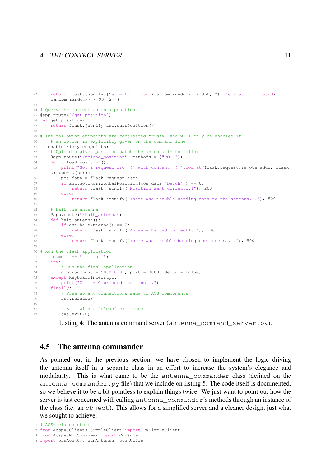```
42 return flask.jsonify({'azimuth': round(random.random() * 360, 2), 'elevation': round(
      random.random() \star 90, 2) })
43
44 # Query the current antenna position
45 @app.route('/get_position')
46 def get_position():
47 return flask.jsonify(ant.currPosition())
48
49 # The following endpoints are considered "risky" and will only be enabled if
50 # an option is explicitly given on the command line.
51 if enable_risky_endpoints:
52 # Upload a given position batch the antenna is to follow
53 @app.route('/upload_position', methods = ["POST"])
54 def upload_position():
55 print("Got a request from {} with content: {}".format(flask.request.remote_addr, flask
     .request.json))
56 pos_data = flask.request.json
57 if ant.gotoHorizontalPosition(pos_data['batch']) == 0:
58 return flask.jsonify("Position sent correctly!"), 200
59 else:
60 return flask.jsonify("There was trouble sending data to the antenna..."), 500
61
62 # Halt the antenna
63 @app.route('/halt_antenna')
64 def halt_antenna():
65 if ant.haltAntenna() == 0:
66 return flask.jsonify("Antenna halted correctly!"), 200
67 else:
68 return flask.jsonify("There was trouble halting the antenna..."), 500
69
70 # Run the flask application
71 if \text{name} == \text{′\_main\_′}:72 try:
73 # Run the flask application
74 app.run(host = '0.0.0.0', port = 8080, debug = False)
75 except KeyboardInterrupt:
76 print("Ctrl + C pressed, exiting...")
77 finally:
78 # Free up any connections made to ACS components
79 ant.release()
80
81 # Exit with a "clean" exit code
82 sys.exit(0)
```
Listing 4: The antenna command server (antenna command server.py).

#### <span id="page-11-0"></span>4.5 The antenna commander

As pointed out in the previous section, we have chosen to implement the logic driving the antenna itself in a separate class in an effort to increase the system's elegance and modularity. This is what came to be the antenna\_commander class (defined on the antenna\_commander.py file) that we include on listing [5.](#page-11-1) The code itself is documented, so we believe it to be a bit pointless to explain things twice. We just want to point out how the server is just concerned with calling antenna\_commander's methods through an instance of the class (i.e. an  $\circ$ b ject). This allows for a simplified server and a cleaner design, just what we sought to achieve.

<span id="page-11-1"></span># ACS-related stuff

from Acspy.Clients.SimpleClient import PySimpleClient

 from Acspy.Nc.Consumer import Consumer import oanAcu40m, oanAntenna, scanUtils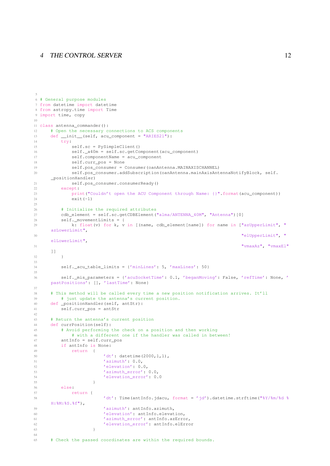```
6 # General purpose modules
7 from datetime import datetime
8 from astropy.time import Time
9 import time, copy
10
11 class antenna_commander():
12 # Open the necessary connections to ACS components
13 def __init__(self, acu_component = "ARIES21"):
14 try:
15 self.sc = PySimpleClient()
16 self._a40m = self.sc.getComponent(acu_component)
17 self.componentName = acu_component
18 self.curr_pos = None
19 self.pos_consumer = Consumer(oanAntenna.MAINAXISCHANNEL)
20 self.pos_consumer.addSubscription(oanAntenna.mainAxisAntennaNotifyBlock, self.
    _positionHandler)
21 self.pos_consumer.consumerReady()
22 except:
23 print("Couldn't open the ACU Component through Name: {}".format(acu_component))
24 ext(-1)25
26 # Initialize the required attributes
27 cdb_element = self.sc.getCDBElement("alma/ANTENNA_40M", "Antenna")[0]
28 self._movementLimits = {
29 k: float(v) for k, v in [(name, cdb_element[name]) for name in ["azUpperLimit", "
    azLowerLimit",
30 "elUpperLimit", "
     elLowerLimit",
31 "vmaxAz", "vmaxEl"
     ]]
32 }
33
34 self._acu_table_limits = {'minLines': 5, 'maxLines': 50}
35
36 self._mis_parameters = {'acuSocketTime': 0.1, 'beganMoving': False, 'refTime': None, '
    pastPositions': [], 'lastTime': None}
37
38 # This method will be called every time a new position notification arrives. It'll
39 # just update the antenna's current position.
40 def _positionHandler(self, antStr):
41 self.curr_pos = antStr
42
43 # Return the antenna's current position
44 def currPosition(self):
45 # Avoid performing the check on a position and then working
46 # with a different one if the handler was called in between!
47 antInfo = self.curr_pos
48 if antInfo is None:
49 return {
50 'dt': datetime(2000,1,1),
51 'azimuth': 0.0,
52 'elevation': 0.0,
53 'azimuth_error': 0.0,
54 'elevation_error': 0.0
55 }
56 else\cdot57 return {
58 'dt': Time(antInfo.jdacu, format = 'jd').datetime.strftime("%Y/%m/%d %
    H:%M:%S.%f"),
59 'azimuth': antInfo.azimuth,
60 'elevation': antInfo.elevation,
61 'azimuth_error': antInfo.azError,
62 'elevation_error': antInfo.elError
63 }
64
65 # Check the passed coordinates are within the required bounds.
```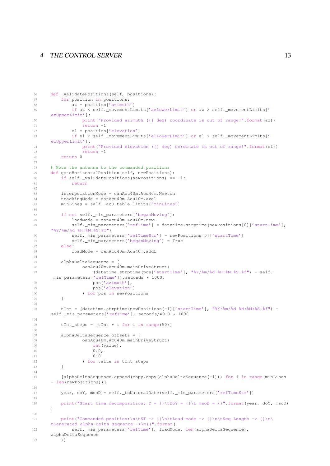```
66 def _validatePositions(self, positions):
67 for position in positions:
68 az = position['azimuth']
69 if az < self._movementLimits['azLowerLimit'] or az > self._movementLimits['
     azUpperLimit']:
70 print ("Provided azimuth ({} deg) coordinate is out of range!".format(az))
71 return -1
72 el = position['elevation']
73 if el < self._movementLimits['elLowerLimit'] or el > self._movementLimits['
     elUpperLimit']:
74 print("Provided elevation ({} deg) cordinate is out of range!".format(el))
75 return -1
76 return 0
77
78 # Move the antenna to the commanded positions
79 def gotoHorizontalPosition(self, newPositions):
80 if self. validatePositions(newPositions) == -1:
81 return
82
83 interpolationMode = oanAcu40m.Acu40m.Newton
84 trackingMode = oanAcu40m.Acu40m.azel
85 minLines = self._acu_table_limits['minLines']
86
87 if not self._mis_parameters['beganMoving']:
88 loadMode = oanAcu40m.Acu40m.newL
89 self._mis_parameters['refTime'] = datetime.strptime(newPositions[0]['startTime'],
      "%Y/%m/%d %H:%M:%S.%f")
90 self._mis_parameters['refTimeStr'] = newPositions[0]['startTime']
91 self._mis_parameters['beganMoving'] = True
92 else:
93 loadMode = oanAcu40m.Acu40m.addL
94
95 alphaDeltaSequence = [
96 oanAcu40m.Acu40m.mainDriveStruct(
97 (datetime.strptime(pos['startTime'], "%Y/%m/%d %H:%M:%S.%f") - self.
     _mis_parameters['refTime']).seconds * 1000,
98 pos['azimuth'],
99 pos['elevation']
100 ) for pos in newPositions
101 ]
102
103 tInt = (datetime.strptime(newPositions[-1]['startTime'], "%Y/%m/%d %H:%M:%S.%f") -
      self. mis parameters['refTime']).seconds/49.0 * 1000
104
105 tInt_steps = [tInt * i for i in range(50)]106
107 alphaDeltaSequence_offsets = [
108 oanAcu40m.Acu40m.mainDriveStruct(
109 int(value),
110 0.0,
111 0.0
112 ) for value in tInt_steps
113 ]
114
115 [alphaDeltaSequence.append(copy.copy(alphaDeltaSequence[-1])) for i in range(minLines
      - len(newPositions))]
116
117 year, doY, msoD = self._toNaturalDate(self._mis_parameters['refTimeStr'])
118
119 print("Start time decomposition: Y = {}\tDoY = {}\t msoD = {}".format(year, doY, msoD)
     )
120
121 print("Commanded position:\n\tST -> {}\n\tLoad mode -> {}\n\tSeq Length -> {}\n\
      tGenerated alpha-delta sequence ->\n{}".format(
122 self._mis_parameters['refTime'], loadMode, len(alphaDeltaSequence),
      alphaDeltaSequence
123 ))
```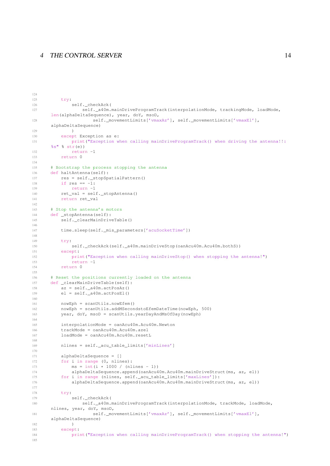```
125 try:
126 self.checkAck(
127 self._a40m.mainDriveProgramTrack(interpolationMode, trackingMode, loadMode,
      len(alphaDeltaSequence), year, doY, msoD,
128 self._movementLimits['vmaxAz'], self._movementLimits['vmaxEl'],
      alphaDeltaSequence)
129 )
130 except Exception as e:
131 print("Exception when calling mainDriveProgramTrack() when driving the antenna!!:
      \frac{1}{8}s" \frac{1}{8} str(e))
132 return -1
133 return 0
134
135 # Bootstrap the process stopping the antenna
136 def haltAntenna(self):
137 res = self._stopSpatialPattern()
138 if res == -1:
139 return -1
140 ret_val = self._stopAntenna()
141 return ret_val
142
143 # Stop the antenna's motors
144 def _stopAntenna(self):
145 self._clearMainDriveTable()
146
147 time.sleep(self. mis parameters['acuSocketTime'])
148
149 try:
150 self._checkAck(self._a40m.mainDriveStop(oanAcu40m.Acu40m.bothS))
151 except:
152 print("Exception when calling mainDriveStop() when stopping the antenna!")
153 return -1
154 return 0
155
156 # Reset the positions currently loaded on the antenna
157 def _clearMainDriveTable(self):
158 az = self._a40m.actPosAz()
159 el = self._a40m.actPosEl()
160
161 nowEph = scanUtils.nowEfem()
162 nowEph = scanUtils.addMSecondstoEfemDateTime(nowEph, 500)
163 year, doY, msoD = scanUtils.yearDayAndMsOfDay(nowEph)
164
165 interpolationMode = oanAcu40m.Acu40m.Newton
166 trackMode = oanAcu40m.Acu40m.azel
167 loadMode = oanAcu40m.Acu40m.resetL
168
169 nlines = self._acu_table_limits['minLines']
170
171 alphaDeltaSequence = []
172 for i in range (0, nlines):
173 ms = int(i \star 1000 / (nlines - 1))<br>174 alphaDeltaSequence.append(oanAcu4
             alphaDeltaSequence.append(oanAcu40m.Acu40m.mainDriveStruct(ms, az, el))
175 for i in range (nlines, self._acu_table_limits['maxLines']):
176 alphaDeltaSequence.append(oanAcu40m.Acu40m.mainDriveStruct(ms, az, el))
177
178 try:
179 self.checkAck(
180 self._a40m.mainDriveProgramTrack(interpolationMode, trackMode, loadMode,
      nlines, year, doY, msoD,
181 self._movementLimits['vmaxAz'], self._movementLimits['vmaxEl'],
      alphaDeltaSequence)
182 )
183 except:
184 print("Exception when calling mainDriveProgramTrack() when stopping the antenna!")
185
```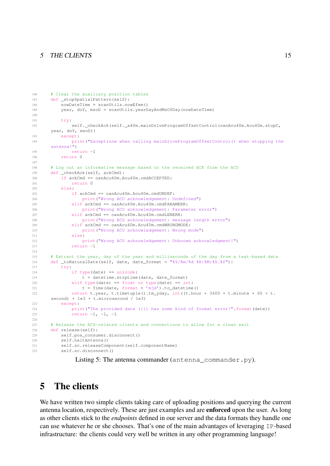#### 5 THE CLIENTS 15

```
186 # Clear the auxiliary position tables
187 def _stopSpatialPattern(self):
188 nowDateTime = scanUtils.nowEfem()
189 year, doY, msoD = scanUtils.yearDayAndMsOfDay(nowDateTime)
190
191 try:
192 self. checkAck(self. a40m.mainDriveProgramOffsetControl(oanAcu40m.Acu40m.stopC,
     year, doY, msoD))
193 except:
194 print("Exceptionw when calling mainDriveProgramOffsetControl() when stopping the
     antenna!")
195 return -1
196 return 0
197
198 # Log out an informative message based on the received ACK from the ACU
199 def _checkAck(self, ackCmd):
200 if ackCmd == oanAcu40m.Acu40m.cmdACCEPTED:
201 return 0
202 else:
203 if ackCmd == oanAcu40m.Acu40m.cmdUNDEF:
204 print("Wrong ACU acknowledgement: Undefined")
205 elif ackCmd == oanAcu40m.Acu40m.cmdPARAMERR:
206 print("Wrong ACU acknowledgement: Parameter error")
207 elif ackCmd == oanAcu40m.Acu40m.cmdLENERR:
208 print("Wrong ACU acknowledgement: message length error")
209 elif ackCmd == oanAcu40m.Acu40m.cmdWRONGMODE:
210 print("Wrong ACU acknowledgement: Wrong mode")
211 else:
212 print("Wrong ACU acknowledgement: Unknown acknowledgment!")
213 return -1214
215 # Extract the year, day of the year and milliseconds of the day from a text-based date
216 def _toNaturalDate(self, date, date_format = "%Y/%m/%d %H:%M:%S.%f"):
217 try:
218 if type(date) == unicode:
219 t = datetime.strptime(date, date_format)
220 elif type(date) == float or type(date) == int:
221 t = Time(date, format = 'mjd').to_datetime()
222 return t.year, t.timetuple().tm_yday, int((t.hour * 3600 + t.minute * 60 + t.
     second) * 1e3 + t.microsecond / 1e3)
223 except:
224 print("The provided date ({}) has some kind of format error!".format(date))
225 return -1, -1, -1226
227 # Release the ACS-related clients and connections to allow for a clean exit
228 def release(self):
229 self.pos_consumer.disconnect()
230 self.haltAntenna()
231 self.sc.releaseComponent(self.componentName)
232 self.sc.disconnect()
```
# <span id="page-15-0"></span>5 The clients

We have written two simple clients taking care of uploading positions and querying the current antenna location, respectively. These are just examples and are enforced upon the user. As long as other clients stick to the *endpoints* defined in our server and the data formats they handle one can use whatever he or she chooses. That's one of the main advantages of leveraging IP-based infrastructure: the clients could very well be written in any other programming language!

Listing 5: The antenna commander (antenna\_commander.py).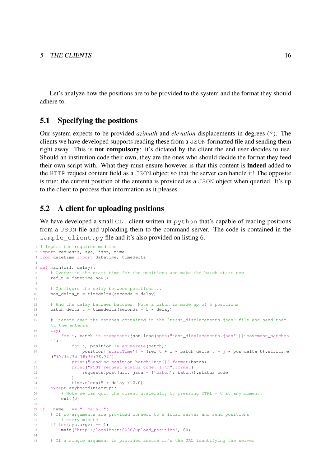Let's analyze how the positions are to be provided to the system and the format they should adhere to.

### <span id="page-16-0"></span>5.1 Specifying the positions

Our system expects to be provided *azimuth* and *elevation* displacements in degrees (º). The clients we have developed supports reading these from a JSON formatted file and sending them right away. This is not compulsory: it's dictated by the client the end user decides to use. Should an institution code their own, they are the ones who should decide the format they feed their own script with. What they must ensure however is that this content is indeed added to the HTTP request content field as a JSON object so that the server can handle it! The opposite is true: the current position of the antenna is provided as a JSON object when queried. It's up to the client to process that information as it pleases.

### <span id="page-16-1"></span>5.2 A client for uploading positions

We have developed a small CLI client written in python that's capable of reading positions from a JSON file and uploading them to the command server. The code is contained in the sample client.py file and it's also provided on listing [6.](#page-16-2)

```
1 # Import the required modules
 2 import requests, sys, json, time
 3 from datetime import datetime, timedelta
 4
5 def main(url, delay):
 6 # Overwrite the start time for the positions and make the batch start now
      ref_t = datetime.now()8
9 # Configure the delay between positions...
10 pos\_delta_t = timedelta(seconds = delay)11
12 # And the delay between batches. Note a batch is made up of 5 positions
13 batch delta t = timedelta(seconds = 5 * delay)
14
15 # Iterate over the batches contained in the 'tesst_displacements.json' file and send them
      to the antenna
16 try:
17 for i, batch in enumerate(json.load(open("test_displacements.json"))['movement_batches
       ']):
18 for j, position in enumerate(batch):
19 position ['startTime'] = (ref t + i * batch delta t + j * pos delta t).strftime
      ("%Y/%m/%d %H:%M:%S.%f")
20 print("Sending position batch:\n\t{}".format(batch)
21 print("POST request status code: {}\n".format(
22 requests.post(url, json = {'batch': batch}).status_code
23 )
24 time.sleep(5 \times delay / 2.0)
25 except KeyboardInterrupt:
26 # Note we can quit the client gracefully by pressing CTRL + C at any moment.
27 exit(0)
\frac{28}{29} if __name_
             = = \sqrt[m]{ } \frac{1}{2} \frac{1}{2} \frac{1}{2} \frac{1}{2} \frac{1}{2} \frac{1}{2} \frac{1}{2} \frac{1}{2} \frac{1}{2} \frac{1}{2} \frac{1}{2} \frac{1}{2} \frac{1}{2} \frac{1}{2} \frac{1}{2} \frac{1}{2} \frac{1}{2} \frac{1}{2} \frac{1}{2} \frac{1}{2} \frac{130 # If no arguments are provided connect to a local server and send positions
31 # every minute
32 if len(sys.argv) == 1:
33 main("http://localhost:8080/upload_position", 60)
34
35 # If a single argument is provided assume it's the URL identifying the server
```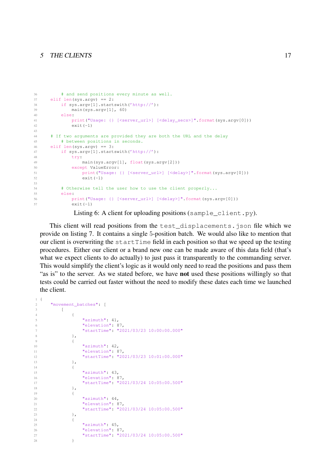#### 5 THE CLIENTS 17

```
36 # and send positions every minute as well.
37 elif len(sys.argv) == 2:
38 if sys.argv[1].startswith('http://'):
39 main(sys.argv[1], 60)
40 else:
41 print("Usage: {} [<server_url>] [<delay_secs>]".format(sys.argv[0]))
42 exit(-1)
43
44 # If two arguments are provided they are both the URL and the delay
45 # between positions in seconds.
46 elif len(sys.argv) == 3:
47 if sys.argv[1].startswith('http://'):
48 try:
49 main(sys.argv[1], float(sys.argv[2]))
50 except ValueError:
51 print("Usage: {} [<server_url>] [<delay>]".format(sys.argv[0]))
52 exit(-1)53
54 # Otherwise tell the user how to use the client properly...
55 else:
56 print("Usage: {} [<server_url>] [<delay>]".format(sys.argv[0]))
57 exit(-1)
```

```
Listing 6: A client for uploading positions (sample_client.py).
```
This client will read positions from the test\_displacements.json file which we provide on listing [7.](#page-17-0) It contains a single 5-position batch. We would also like to mention that our client is overwriting the startTime field in each position so that we speed up the testing procedures. Either our client or a brand new one can be made aware of this data field (that's what we expect clients to do actually) to just pass it transparently to the commanding server. This would simplify the client's logic as it would only need to read the positions and pass them "as is" to the server. As we stated before, we have not used these positions willingly so that tests could be carried out faster without the need to modify these dates each time we launched the client.

```
1 {
2 "movement_batches": [
3 \qquad \qquad4 \qquad \qquad \{5 "azimuth": 41,
6 "elevation": 87,
7 "startTime": "2021/03/23 10:00:00.000"
8 },
9 {
10 "azimuth": 42,
11 "elevation": 87,
12 "startTime": "2021/03/23 10:01:00.000"
13 \Big\},
14 \{15 "azimuth": 43,
16 "elevation": 87,
17 "startTime": "2021/03/24 10:05:00.500"
18 },
19 {
20 "azimuth": 44,
21 "elevation": 87,
22 "startTime": "2021/03/24 10:05:00.500"
23 },
24 {
25 "azimuth": 45,
26 "elevation": 87,
27 "startTime": "2021/03/24 10:05:00.500"
28 }
```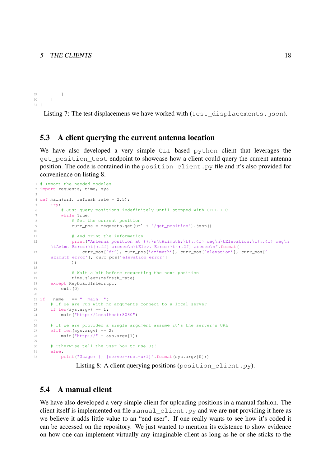```
29 ]
30 ]
31 }
```
Listing 7: The test displacemens we have worked with (test\_displacements.json).

#### <span id="page-18-0"></span>5.3 A client querying the current antenna location

We have also developed a very simple CLI based python client that leverages the get\_position\_test endpoint to showcase how a client could query the current antenna position. The code is contained in the position\_client.py file and it's also provided for convenience on listing [8.](#page-18-2)

```
1 # Import the needed modules
2 import requests, time, sys
 3
4 def main(url, refresh rate = 2.5):
     try:
6 # Just query positions indefinitely until stopped with CTRL + C
7 while True:
8 \# Get the current position
9 curr_pos = requests.get(url + "/get_position").json()
10
11 # And print the information
12 print("Antenna position at {}:\n\tAzimuth:\t{:.4f} deg\n\tElevation:\t{:.4f} deg\n
     \tAzim. Error:\t{:.2f} arcsec\n\tElev. Error:\t{:.2f} arcsec\n".format(
13 curr_pos['dt'], curr_pos['azimuth'], curr_pos['elevation'], curr_pos['
     azimuth_error'], curr_pos['elevation_error']
14 ) )
15
16 # Wait a bit before requesting the next position
17 time.sleep(refresh_rate)
18 except KeyboardInterrupt:
19 exit(0)
2021 if {\_}name{\_} == {\_}^\text{max} {\_} == {\_}^\text{max} {\_}^\text{max} :
22 # If we are run with no arguments connect to a local server
23 if len(sys.argv) == 1:
24 main("http://localhost:8080")
2526 # If we are provided a single argument assume it's the server's URL
27 elif len(sys.argv) == 2:
28 main("http://" + sys.argv[1])
2930 # Otherwise tell the user how to use us!
31 else:
32 print("Usage: {} [server-root-url]".format(sys.argv[0]))
```
Listing 8: A client querying positions (position\_client.py).

# <span id="page-18-1"></span>5.4 A manual client

We have also developed a very simple client for uploading positions in a manual fashion. The client itself is implemented on file manual\_client.py and we are not providing it here as we believe it adds little value to an "end user". If one really wants to see how it's coded it can be accessed on the repository. We just wanted to mention its existence to show evidence on how one can implement virtually any imaginable client as long as he or she sticks to the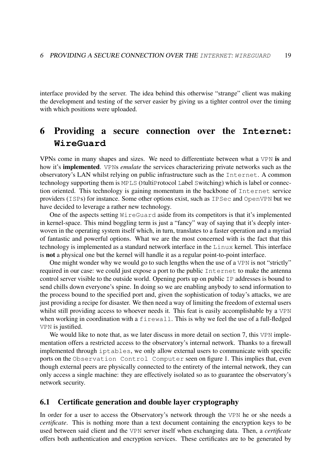interface provided by the server. The idea behind this otherwise "strange" client was making the development and testing of the server easier by giving us a tighter control over the timing with which positions were uploaded.

# <span id="page-19-0"></span>6 Providing a secure connection over the **Internet**: **WireGuard**

VPNs come in many shapes and sizes. We need to differentiate between what a VPN is and how it's implemented. VPNs *emulate* the services characterizing private networks such as the observatory's LAN whilst relying on public infrastructure such as the Internet. A common technology supporting them is MPLS (MultiProtocol Label Switching) which is label or connection oriented. This technology is gaining momentum in the backbone of Internet service providers (ISPs) for instance. Some other options exist, such as IPSec and OpenVPN but we have decided to leverage a rather new technology.

One of the aspects setting WireGuard aside from its competitors is that it's implemented in kernel-space. This mind boggling term is just a "fancy" way of saying that it's deeply interwoven in the operating system itself which, in turn, translates to a faster operation and a myriad of fantastic and powerful options. What we are the most concerned with is the fact that this technology is implemented as a standard network interface in the Linux kernel. This interface is not a physical one but the kernel will handle it as a regular point-to-point interface.

One might wonder why we would go to such lengths when the use of a VPN is not "strictly" required in our case: we could just expose a port to the public Internet to make the antenna control server visible to the outside world. Opening ports up on public IP addresses is bound to send chills down everyone's spine. In doing so we are enabling anybody to send information to the process bound to the specified port and, given the sophistication of today's attacks, we are just providing a recipe for disaster. We then need a way of limiting the freedom of external users whilst still providing access to whoever needs it. This feat is easily accomplishable by a VPN when working in coordination with a firewall. This is why we feel the use of a full-fledged VPN is justified.

We would like to note that, as we later discuss in more detail on section [7,](#page-24-2) this VPN implementation offers a restricted access to the observatory's internal network. Thanks to a firewall implemented through iptables, we only allow external users to communicate with specific ports on the Observation Control Computer seen on figure [1.](#page-3-2) This implies that, even though external peers are physically connected to the entirety of the internal network, they can only access a single machine: they are effectively isolated so as to guarantee the observatory's network security.

### <span id="page-19-1"></span>6.1 Certificate generation and double layer cryptography

In order for a user to access the Observatory's network through the VPN he or she needs a *certificate*. This is nothing more than a text document containing the encryption keys to be used between said client and the VPN server itself when exchanging data. Then, a *certificate* offers both authentication and encryption services. These certificates are to be generated by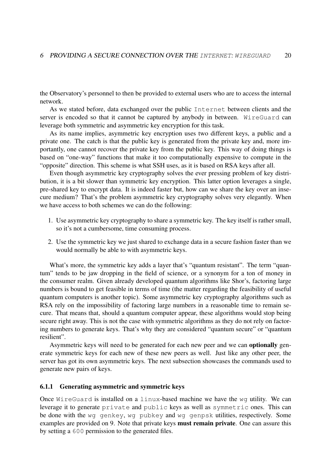the Observatory's personnel to then be provided to external users who are to access the internal network.

As we stated before, data exchanged over the public Internet between clients and the server is encoded so that it cannot be captured by anybody in between. WireGuard can leverage both symmetric and asymmetric key encryption for this task.

As its name implies, asymmetric key encryption uses two different keys, a public and a private one. The catch is that the public key is generated from the private key and, more importantly, one cannot recover the private key from the public key. This way of doing things is based on "one-way" functions that make it too computationally expensive to compute in the "opposite" direction. This scheme is what SSH uses, as it is based on RSA keys after all.

Even though asymmetric key cryptography solves the ever pressing problem of key distribution, it is a bit slower than symmetric key encryption. This latter option leverages a single, pre-shared key to encrypt data. It is indeed faster but, how can we share the key over an insecure medium? That's the problem asymmetric key cryptography solves very elegantly. When we have access to both schemes we can do the following:

- 1. Use asymmetric key cryptography to share a symmetric key. The key itself is rather small, so it's not a cumbersome, time consuming process.
- 2. Use the symmetric key we just shared to exchange data in a secure fashion faster than we would normally be able to with asymmetric keys.

What's more, the symmetric key adds a layer that's "quantum resistant". The term "quantum" tends to be jaw dropping in the field of science, or a synonym for a ton of money in the consumer realm. Given already developed quantum algorithms like Shor's, factoring large numbers is bound to get feasible in terms of time (the matter regarding the feasibility of useful quantum computers is another topic). Some asymmetric key cryptography algorithms such as RSA rely on the impossibility of factoring large numbers in a reasonable time to remain secure. That means that, should a quantum computer appear, these algorithms would stop being secure right away. This is not the case with symmetric algorithms as they do not rely on factoring numbers to generate keys. That's why they are considered "quantum secure" or "quantum resilient".

Asymmetric keys will need to be generated for each new peer and we can optionally generate symmetric keys for each new of these new peers as well. Just like any other peer, the server has got its own asymmetric keys. The next subsection showcases the commands used to generate new pairs of keys.

#### <span id="page-20-0"></span>6.1.1 Generating asymmetric and symmetric keys

Once WireGuard is installed on a linux-based machine we have the wg utility. We can leverage it to generate private and public keys as well as symmetric ones. This can be done with the wg genkey, wg pubkey and wg genpsk utilities, respectively. Some examples are provided on [9.](#page-21-3) Note that private keys must remain private. One can assure this by setting a 600 permission to the generated files.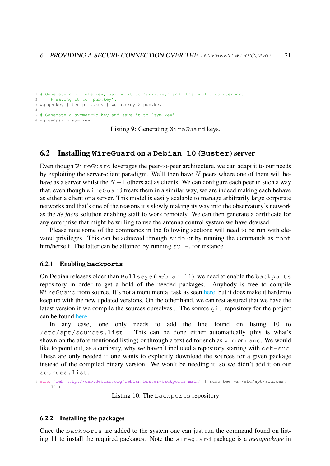```
1 # Generate a private key, saving it to 'priv.key' and it's public counterpart
    # saving it to 'pub.key'.
3 wg genkey | tee priv.key | wg pubkey > pub.key
4
5 # Generate a symmetric key and save it to 'sym.key'
6 wg genpsk > sym.key
```
Listing 9: Generating WireGuard keys.

### <span id="page-21-0"></span>6.2 Installing **WireGuard** on a **Debian 10** (**Buster**) server

Even though WireGuard leverages the peer-to-peer architecture, we can adapt it to our needs by exploiting the server-client paradigm. We'll then have  $N$  peers where one of them will behave as a server whilst the  $N - 1$  others act as clients. We can configure each peer in such a way that, even though WireGuard treats them in a similar way, we are indeed making each behave as either a client or a server. This model is easily scalable to manage arbitrarily large corporate networks and that's one of the reasons it's slowly making its way into the observatory's network as the *de facto* solution enabling staff to work remotely. We can then generate a certificate for any enterprise that might be willing to use the antenna control system we have devised.

Please note some of the commands in the following sections will need to be run with elevated privileges. This can be achieved through sudo or by running the commands as root him/herself. The latter can be attained by running  $su -$ , for instance.

#### <span id="page-21-1"></span>6.2.1 Enabling **backports**

On Debian releases older than Bullseye (Debian 11), we need to enable the backports repository in order to get a hold of the needed packages. Anybody is free to compile WireGuard from source. It's not a monumental task as seen [here,](https://www.wireguard.com/compilation/) but it does make it harder to keep up with the new updated versions. On the other hand, we can rest assured that we have the latest version if we compile the sources ourselves... The source git repository for the project can be found [here.](https://git.zx2c4.com/wireguard-tools/tree/)

In any case, one only needs to add the line found on listing [10](#page-21-4) to /etc/apt/sources.list. This can be done either automatically (this is what's shown on the aforementioned listing) or through a text editor such as vim or nano. We would like to point out, as a curiosity, why we haven't included a repository starting with deb-src. These are only needed if one wants to explicitly download the sources for a given package instead of the compiled binary version. We won't be needing it, so we didn't add it on our sources.list.

<span id="page-21-4"></span>1 echo 'deb http://deb.debian.org/debian buster-backports main' | sudo tee -a /etc/apt/sources. list

Listing 10: The backports repository

#### <span id="page-21-2"></span>6.2.2 Installing the packages

Once the backports are added to the system one can just run the command found on listing [11](#page-22-1) to install the required packages. Note the wireguard package is a *metapackage* in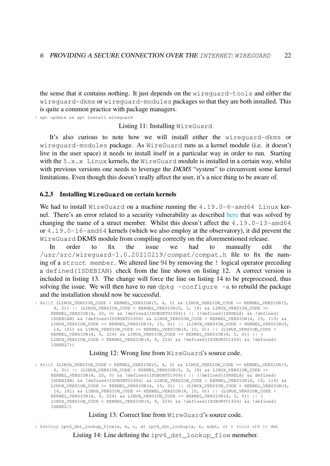the sense that it contains nothing. It just depends on the wireguard-tools and either the wireguard-dkms or wireguard-modules packages so that they are both installed. This is quite a common practice with package managers.

<span id="page-22-1"></span>1 apt update && apt install wireguard

Listing 11: Installing WireGuard

It's also curious to note how we will install either the wireguard-dkms or wireguard-modules package. As WireGuard runs as a kernel module (i.e. it doesn't live in the user space) it needs to install itself in a particular way in order to run. Starting with the  $5.x.x$  Linux kernels, the WireGuard module is installed in a certain way, whilst with previous versions one needs to leverage the *DKMS* "system" to circumvent some kernel limitations. Even though this doesn't really affect the user, it's a nice thing to be aware of.

#### <span id="page-22-0"></span>6.2.3 Installing **WireGuard** on certain kernels

We had to install WireGuard on a machine running the 4.19.0-6-amd64 Linux kernel. There's an error related to a security vulnerability as described [here](https://bugs.debian.org/cgi-bin/bugreport.cgi?bug=959157) that was solved by changing the name of a struct member. Whilst this doesn't affect the 4.19.0-13-amd64 or 4.19.0-16-amd64 kernels (which we also employ at the observatory), it did prevent the WireGuard DKMS module from compiling correctly on the aforementioned release.

In order to fix the issue we had to manually edit the /usr/src/wireguard-1.0.20210219/compat/compat.h file to fix the naming of a struct member. We altered line 94 by removing the ! logical operator preceding a defined(ISDEBIAN) check from the line shown on listing [12.](#page-22-2) A correct version is included in listing [13.](#page-22-3) The change will force the line on listing [14](#page-22-4) to be preprocessed, thus solving the issue. We will then have to run dpkg  $-\text{confique}$  -a to rebuild the package and the installation should now be successful.

<span id="page-22-2"></span>1 #elif (LINUX\_VERSION\_CODE < KERNEL\_VERSION(5, 4, 5) && LINUX\_VERSION\_CODE >= KERNEL\_VERSION(5,  $(4, 0))$  || (LINUX\_VERSION\_CODE < KERNEL\_VERSION(5, 3, 18) && LINUX\_VERSION\_CODE >= KERNEL\_VERSION(4, 20, 0) && !defined(ISUBUNTU1904)) || (!defined(ISRHEL8) && !defined( ISDEBIAN) && !defined(ISUBUNTU1804) && LINUX\_VERSION\_CODE < KERNEL\_VERSION(4, 19, 119) && LINUX\_VERSION\_CODE >= KERNEL\_VERSION(4, 15, 0)) || (LINUX\_VERSION\_CODE < KERNEL\_VERSION(4, 14, 181) && LINUX\_VERSION\_CODE >= KERNEL\_VERSION(4, 10, 0)) || (LINUX\_VERSION\_CODE < KERNEL\_VERSION(4, 9, 224)  $\&\&$  LINUX\_VERSION\_CODE >= KERNEL\_VERSION(4, 5, 0)) || ( LINUX\_VERSION\_CODE < KERNEL\_VERSION(4, 4, 224) && !defined(ISUBUNTU1604) && !defined( ISRHEL7))

#### Listing 12: Wrong line from WireGuard's source code.

<span id="page-22-3"></span>1 #elif (LINUX\_VERSION\_CODE < KERNEL\_VERSION(5, 4, 5) && LINUX\_VERSION\_CODE >= KERNEL\_VERSION(5, 4, 0)) || (LINUX\_VERSION\_CODE < KERNEL\_VERSION(5, 3, 18) && LINUX\_VERSION\_CODE >= KERNEL\_VERSION(4, 20, 0) && !defined(ISUBUNTU1904)) || (!defined(ISRHEL8) && defined( ISDEBIAN) && !defined(ISUBUNTU1804) && LINUX\_VERSION\_CODE < KERNEL\_VERSION(4, 19, 119) && LINUX\_VERSION\_CODE >= KERNEL\_VERSION(4, 15, 0)) || (LINUX\_VERSION\_CODE < KERNEL\_VERSION(4, 14, 181) && LINUX\_VERSION\_CODE >= KERNEL\_VERSION(4, 10, 0)) || (LINUX\_VERSION\_CODE < KERNEL\_VERSION(4, 9, 224) && LINUX\_VERSION\_CODE >= KERNEL\_VERSION(4, 5, 0)) || ( LINUX\_VERSION\_CODE < KERNEL\_VERSION(4, 4, 224) && !defined(ISUBUNTU1604) && !defined( ISRHEL7)

#### Listing 13: Correct line from WireGuard's source code.

<span id="page-22-4"></span><sup>1</sup> #define ipv6\_dst\_lookup\_flow(a, b, c, d) ipv6\_dst\_lookup(a, b, &dst, c) + (void \*)0 ?: dst

Listing 14: Line defining the ipv6 dst lookup flow memeber.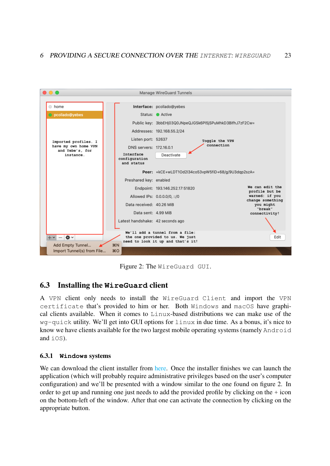

<span id="page-23-2"></span>Figure 2: The WireGuard GUI.

# <span id="page-23-0"></span>6.3 Installing the **WireGuard** client

A VPN client only needs to install the WireGuard Client and import the VPN certificate that's provided to him or her. Both Windows and macOS have graphical clients available. When it comes to Linux-based distributions we can make use of the wg-quick utility. We'll get into GUI options for linux in due time. As a bonus, it's nice to know we have clients available for the two largest mobile operating systems (namely Android and iOS).

# <span id="page-23-1"></span>6.3.1 **Windows** systems

We can download the client installer from [here.](https://download.wireguard.com/windows-client/wireguard-installer.exe) Once the installer finishes we can launch the application (which will probably require administrative privileges based on the user's computer configuration) and we'll be presented with a window similar to the one found on figure [2.](#page-23-2) In order to get up and running one just needs to add the provided profile by clicking on the + icon on the bottom-left of the window. After that one can activate the connection by clicking on the appropriate button.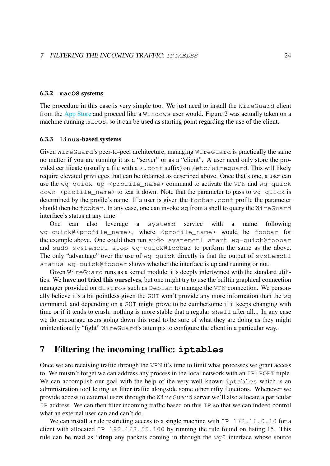#### <span id="page-24-0"></span>6.3.2 **macOS** systems

The procedure in this case is very simple too. We just need to install the WireGuard client from the [App Store](https://itunes.apple.com/us/app/wireguard/id1451685025?ls=1&mt=12) and proceed like a Windows user would. Figure [2](#page-23-2) was actually taken on a machine running macOS, so it can be used as starting point regarding the use of the client.

#### <span id="page-24-1"></span>6.3.3 **Linux**-based systems

Given WireGuard's peer-to-peer architecture, managing WireGuard is practically the same no matter if you are running it as a "server" or as a "client". A user need only store the provided certificate (usually a file with  $a *$ .conf suffix) on /etc/wirequard. This will likely require elevated privileges that can be obtained as described above. Once that's one, a user can use the wg-quick up  $\epsilon$  sprofile name> command to activate the VPN and wg-quick down  $\le$ profile name> to tear it down. Note that the parameter to pass to wg-quick is determined by the profile's name. If a user is given the foobar.conf profile the parameter should then be foobar. In any case, one can invoke wg from a shell to query the WireGuard interface's status at any time.

One can also leverage a systemd service with a name following wg-quick@<profile\_name>, where <profile\_name> would be foobar for the example above. One could then run sudo systemctl start wg-quick@foobar and sudo systemctl stop wg-quick@foobar to perform the same as the above. The only "advantage" over the use of wq-quick directly is that the output of systemctl status wg-quick@foobar shows whether the interface is up and running or not.

Given WireGuard runs as a kernel module, it's deeply intertwined with the standard utilities. We have not tried this ourselves, but one might try to use the builtin graphical connection manager provided on distros such as Debian to manage the VPN connection. We personally believe it's a bit pointless given the GUI won't provide any more information than the wg command, and depending on a GUI might prove to be cumbersome if it keeps changing with time or if it tends to crash: nothing is more stable that a regular shell after all... In any case we do encourage users going down this road to be sure of what they are doing as they might unintentionally "fight" WireGuard's attempts to configure the client in a particular way.

# <span id="page-24-2"></span>7 Filtering the incoming traffic: **iptables**

Once we are receiving traffic through the VPN it's time to limit what processes we grant access to. We mustn't forget we can address any process in the local network with an IP:PORT tuple. We can accomplish our goal with the help of the very well known iptables which is an administration tool letting us filter traffic alongside some other nifty functions. Whenever we provide access to external users through the WireGuard server we'll also allocate a particular IP address. We can then filter incoming traffic based on this IP so that we can indeed control what an external user can and can't do.

We can install a rule restricting access to a single machine with IP 172.16.0.10 for a client with allocated IP 192.168.55.100 by running the rule found on listing [15.](#page-25-2) This rule can be read as "drop any packets coming in through the wg0 interface whose source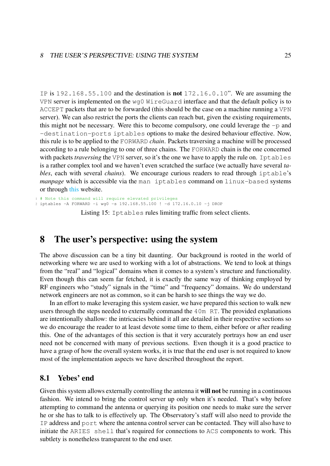IP is 192.168.55.100 and the destination is not 172.16.0.10". We are assuming the VPN server is implemented on the wg0 WireGuard interface and that the default policy is to ACCEPT packets that are to be forwarded (this should be the case on a machine running a VPN server). We can also restrict the ports the clients can reach but, given the existing requirements, this might not be necessary. Were this to become compulsory, one could leverage the  $-p$  and -destination-ports iptables options to make the desired behaviour effective. Now, this rule is to be applied to the FORWARD *chain*. Packets traversing a machine will be processed according to a rule belonging to one of three chains. The FORWARD chain is the one concerned with packets *traversing* the VPN server, so it's the one we have to apply the rule on. Iptables is a rather complex tool and we haven't even scratched the surface (we actually have several *tables*, each with several *chains*). We encourage curious readers to read through iptable's *manpage* which is accessible via the man iptables command on linux-based systems or through [this](https://linux.die.net/man/8/iptables) website.

<span id="page-25-2"></span># Note this command will require elevated privileges 2 iptables -A FORWARD -i wg0 -s 192.168.55.100 ! -d 172.16.0.10 -j DROP

Listing 15: Iptables rules limiting traffic from select clients.

# <span id="page-25-0"></span>8 The user's perspective: using the system

The above discussion can be a tiny bit daunting. Our background is rooted in the world of networking where we are used to working with a lot of abstractions. We tend to look at things from the "real" and "logical" domains when it comes to a system's structure and functionality. Even though this can seem far fetched, it is exactly the same way of thinking employed by RF engineers who "study" signals in the "time" and "frequency" domains. We do understand network engineers are not as common, so it can be harsh to see things the way we do.

In an effort to make leveraging this system easier, we have prepared this section to walk new users through the steps needed to externally command the 40m RT. The provided explanations are intentionally shallow: the intricacies behind it all are detailed in their respective sections so we do encourage the reader to at least devote some time to them, either before or after reading this. One of the advantages of this section is that it very accurately portrays how an end user need not be concerned with many of previous sections. Even though it is a good practice to have a grasp of how the overall system works, it is true that the end user is not required to know most of the implementation aspects we have described throughout the report.

# <span id="page-25-1"></span>8.1 Yebes' end

Given this system allows externally controlling the antenna it will not be running in a continuous fashion. We intend to bring the control server up only when it's needed. That's why before attempting to command the antenna or querying its position one needs to make sure the server he or she has to talk to is effectively up. The Observatory's staff will also need to provide the IP address and port where the antenna control server can be contacted. They will also have to initiate the ARIES shell that's required for connections to ACS components to work. This subtlety is nonetheless transparent to the end user.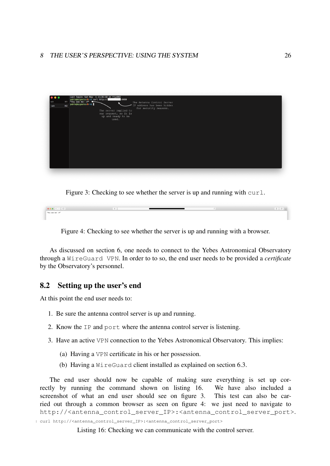

<span id="page-26-2"></span>Figure 3: Checking to see whether the server is up and running with curl.



<span id="page-26-3"></span>Figure 4: Checking to see whether the server is up and running with a browser.

As discussed on section [6,](#page-19-0) one needs to connect to the Yebes Astronomical Observatory through a WireGuard VPN. In order to to so, the end user needs to be provided a *certificate* by the Observatory's personnel.

# <span id="page-26-0"></span>8.2 Setting up the user's end

At this point the end user needs to:

- 1. Be sure the antenna control server is up and running.
- 2. Know the IP and port where the antenna control server is listening.
- 3. Have an active VPN connection to the Yebes Astronomical Observatory. This implies:
	- (a) Having a VPN certificate in his or her possession.
	- (b) Having a WireGuard client installed as explained on section [6.3.](#page-23-0)

The end user should now be capable of making sure everything is set up correctly by running the command shown on listing [16.](#page-26-1) We have also included a screenshot of what an end user should see on figure [3.](#page-26-2) This test can also be carried out through a common browser as seen on figure [4:](#page-26-3) we just need to navigate to http://<antenna\_control\_server\_IP>:<antenna\_control\_server\_port>. 1 curl http://<antenna\_control\_server\_IP>:<antenna\_control\_server\_port>

<span id="page-26-1"></span>Listing 16: Checking we can communicate with the control server.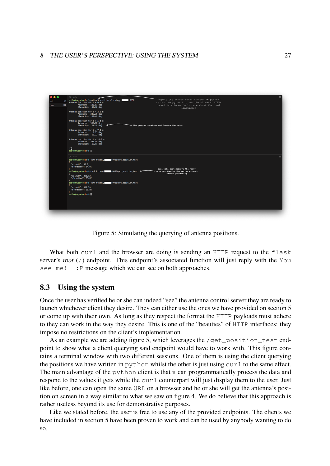

Figure 5: Simulating the querying of antenna positions.

<span id="page-27-1"></span>What both curl and the browser are doing is sending an HTTP request to the flask server's *root* (/) endpoint. This endpoint's associated function will just reply with the You see me! : P message which we can see on both approaches.

# <span id="page-27-0"></span>8.3 Using the system

Once the user has verified he or she can indeed "see" the antenna control server they are ready to launch whichever client they desire. They can either use the ones we have provided on section [5](#page-15-0) or come up with their own. As long as they respect the format the HTTP payloads must adhere to they can work in the way they desire. This is one of the "beauties" of HTTP interfaces: they impose no restrictions on the client's implementation.

As an example we are adding figure [5,](#page-27-1) which leverages the /get\_position\_test endpoint to show what a client querying said endpoint would have to work with. This figure contains a terminal window with two different sessions. One of them is using the client querying the positions we have written in python whilst the other is just using  $curl to the same effect.$ The main advantage of the python client is that it can programmatically process the data and respond to the values it gets while the  $\text{curl} \, \text{counterpart}$  will just display them to the user. Just like before, one can open the same URL on a browser and he or she will get the antenna's position on screen in a way similar to what we saw on figure [4.](#page-26-3) We do believe that this approach is rather useless beyond its use for demonstrative purposes.

Like we stated before, the user is free to use any of the provided endpoints. The clients we have included in section [5](#page-15-0) have been proven to work and can be used by anybody wanting to do so.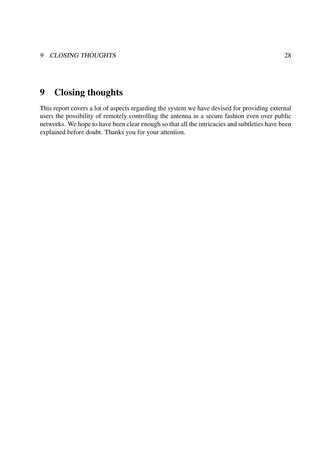# <span id="page-28-0"></span>9 Closing thoughts

This report covers a lot of aspects regarding the system we have devised for providing external users the possibility of remotely controlling the antenna in a secure fashion even over public networks. We hope to have been clear enough so that all the intricacies and subtleties have been explained before doubt. Thanks you for your attention.